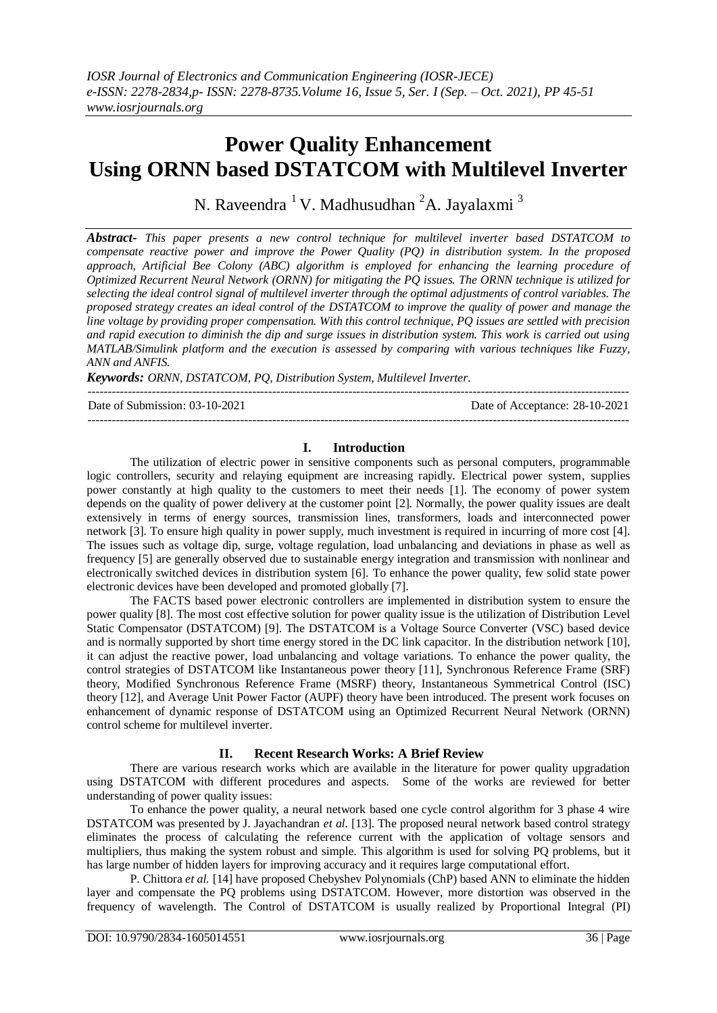# **Power Quality Enhancement Using ORNN based DSTATCOM with Multilevel Inverter**

N. Raveendra  $1$ V. Madhusudhan  $2$ A. Jayalaxmi  $3$ 

*Abstract- This paper presents a new control technique for multilevel inverter based DSTATCOM to compensate reactive power and improve the Power Quality (PQ) in distribution system. In the proposed approach, Artificial Bee Colony (ABC) algorithm is employed for enhancing the learning procedure of Optimized Recurrent Neural Network (ORNN) for mitigating the PQ issues. The ORNN technique is utilized for selecting the ideal control signal of multilevel inverter through the optimal adjustments of control variables. The proposed strategy creates an ideal control of the DSTATCOM to improve the quality of power and manage the line voltage by providing proper compensation. With this control technique, PQ issues are settled with precision and rapid execution to diminish the dip and surge issues in distribution system. This work is carried out using MATLAB/Simulink platform and the execution is assessed by comparing with various techniques like Fuzzy, ANN and ANFIS.* 

*Keywords: ORNN, DSTATCOM, PQ, Distribution System, Multilevel Inverter.*

---------------------------------------------------------------------------------------------------------------------------------------

Date of Submission: 03-10-2021 Date of Acceptance: 28-10-2021

### **I. Introduction**

---------------------------------------------------------------------------------------------------------------------------------------

The utilization of electric power in sensitive components such as personal computers, programmable logic controllers, security and relaying equipment are increasing rapidly. Electrical power system, supplies power constantly at high quality to the customers to meet their needs [1]. The economy of power system depends on the quality of power delivery at the customer point [2]. Normally, the power quality issues are dealt extensively in terms of energy sources, transmission lines, transformers, loads and interconnected power network [3]. To ensure high quality in power supply, much investment is required in incurring of more cost [4]. The issues such as voltage dip, surge, voltage regulation, load unbalancing and deviations in phase as well as frequency [5] are generally observed due to sustainable energy integration and transmission with nonlinear and electronically switched devices in distribution system [6]. To enhance the power quality, few solid state power electronic devices have been developed and promoted globally [7].

The FACTS based power electronic controllers are implemented in distribution system to ensure the power quality [8]. The most cost effective solution for power quality issue is the utilization of Distribution Level Static Compensator (DSTATCOM) [9]. The DSTATCOM is a Voltage Source Converter (VSC) based device and is normally supported by short time energy stored in the DC link capacitor. In the distribution network [10], it can adjust the reactive power, load unbalancing and voltage variations. To enhance the power quality, the control strategies of DSTATCOM like Instantaneous power theory [11], Synchronous Reference Frame (SRF) theory, Modified Synchronous Reference Frame (MSRF) theory, Instantaneous Symmetrical Control (ISC) theory [12], and Average Unit Power Factor (AUPF) theory have been introduced. The present work focuses on enhancement of dynamic response of DSTATCOM using an Optimized Recurrent Neural Network (ORNN) control scheme for multilevel inverter.

## **II. Recent Research Works: A Brief Review**

There are various research works which are available in the literature for power quality upgradation using DSTATCOM with different procedures and aspects. Some of the works are reviewed for better understanding of power quality issues:

To enhance the power quality, a neural network based one cycle control algorithm for 3 phase 4 wire DSTATCOM was presented by J. Jayachandran *et al.* [13]. The proposed neural network based control strategy eliminates the process of calculating the reference current with the application of voltage sensors and multipliers, thus making the system robust and simple. This algorithm is used for solving PQ problems, but it has large number of hidden layers for improving accuracy and it requires large computational effort.

P. Chittora *et al.* [14] have proposed Chebyshev Polynomials (ChP) based ANN to eliminate the hidden layer and compensate the PQ problems using DSTATCOM. However, more distortion was observed in the frequency of wavelength. The Control of DSTATCOM is usually realized by Proportional Integral (PI)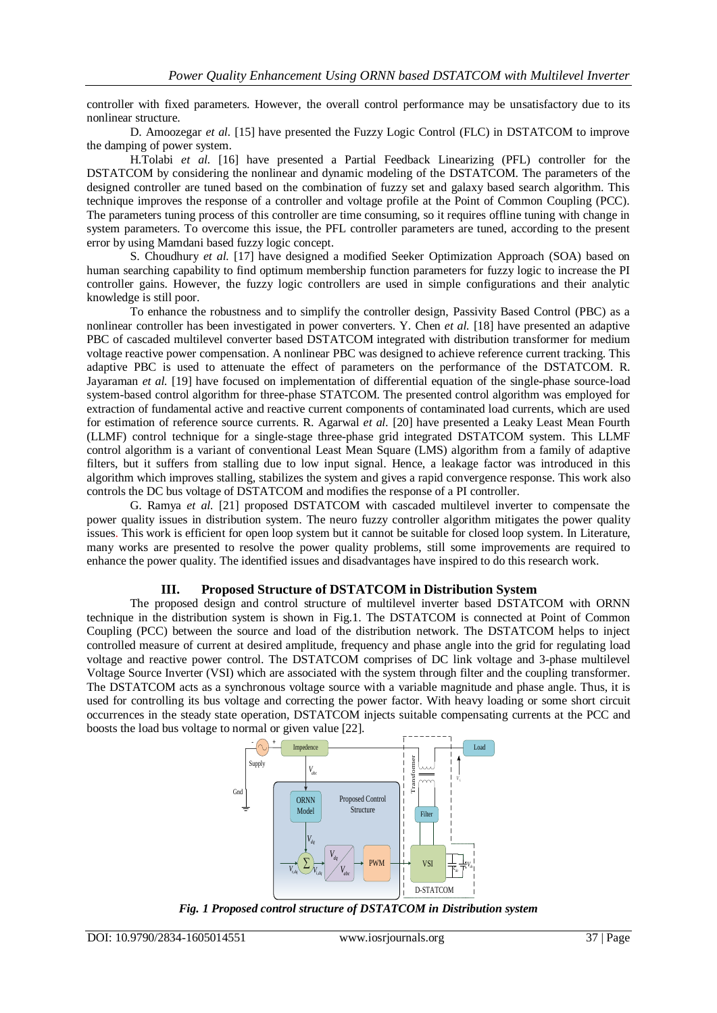controller with fixed parameters. However, the overall control performance may be unsatisfactory due to its nonlinear structure.

D. Amoozegar *et al.* [15] have presented the Fuzzy Logic Control (FLC) in DSTATCOM to improve the damping of power system.

H.Tolabi *et al.* [16] have presented a Partial Feedback Linearizing (PFL) controller for the DSTATCOM by considering the nonlinear and dynamic modeling of the DSTATCOM. The parameters of the designed controller are tuned based on the combination of fuzzy set and galaxy based search algorithm. This technique improves the response of a controller and voltage profile at the Point of Common Coupling (PCC). The parameters tuning process of this controller are time consuming, so it requires offline tuning with change in system parameters. To overcome this issue, the PFL controller parameters are tuned, according to the present error by using Mamdani based fuzzy logic concept.

S. Choudhury *et al.* [17] have designed a modified Seeker Optimization Approach (SOA) based on human searching capability to find optimum membership function parameters for fuzzy logic to increase the PI controller gains. However, the fuzzy logic controllers are used in simple configurations and their analytic knowledge is still poor.

To enhance the robustness and to simplify the controller design, Passivity Based Control (PBC) as a nonlinear controller has been investigated in power converters. Y. Chen *et al.* [18] have presented an adaptive PBC of cascaded multilevel converter based DSTATCOM integrated with distribution transformer for medium voltage reactive power compensation. A nonlinear PBC was designed to achieve reference current tracking. This adaptive PBC is used to attenuate the effect of parameters on the performance of the DSTATCOM. R. Jayaraman *et al.* [19] have focused on implementation of differential equation of the single-phase source-load system-based control algorithm for three-phase STATCOM. The presented control algorithm was employed for extraction of fundamental active and reactive current components of contaminated load currents, which are used for estimation of reference source currents. R. Agarwal *et al.* [20] have presented a Leaky Least Mean Fourth (LLMF) control technique for a single-stage three-phase grid integrated DSTATCOM system. This LLMF control algorithm is a variant of conventional Least Mean Square (LMS) algorithm from a family of adaptive filters, but it suffers from stalling due to low input signal. Hence, a leakage factor was introduced in this algorithm which improves stalling, stabilizes the system and gives a rapid convergence response. This work also controls the DC bus voltage of DSTATCOM and modifies the response of a PI controller.

G. Ramya *et al.* [21] proposed DSTATCOM with cascaded multilevel inverter to compensate the power quality issues in distribution system. The neuro fuzzy controller algorithm mitigates the power quality issues. This work is efficient for open loop system but it cannot be suitable for closed loop system. In Literature, many works are presented to resolve the power quality problems, still some improvements are required to enhance the power quality. The identified issues and disadvantages have inspired to do this research work.

## **III. Proposed Structure of DSTATCOM in Distribution System**

The proposed design and control structure of multilevel inverter based DSTATCOM with ORNN technique in the distribution system is shown in Fig.1. The DSTATCOM is connected at Point of Common Coupling (PCC) between the source and load of the distribution network. The DSTATCOM helps to inject controlled measure of current at desired amplitude, frequency and phase angle into the grid for regulating load voltage and reactive power control. The DSTATCOM comprises of DC link voltage and 3-phase multilevel Voltage Source Inverter (VSI) which are associated with the system through filter and the coupling transformer. The DSTATCOM acts as a synchronous voltage source with a variable magnitude and phase angle. Thus, it is used for controlling its bus voltage and correcting the power factor. With heavy loading or some short circuit occurrences in the steady state operation, DSTATCOM injects suitable compensating currents at the PCC and boosts the load bus voltage to normal or given value [22].



*Fig. 1 Proposed control structure of DSTATCOM in Distribution system*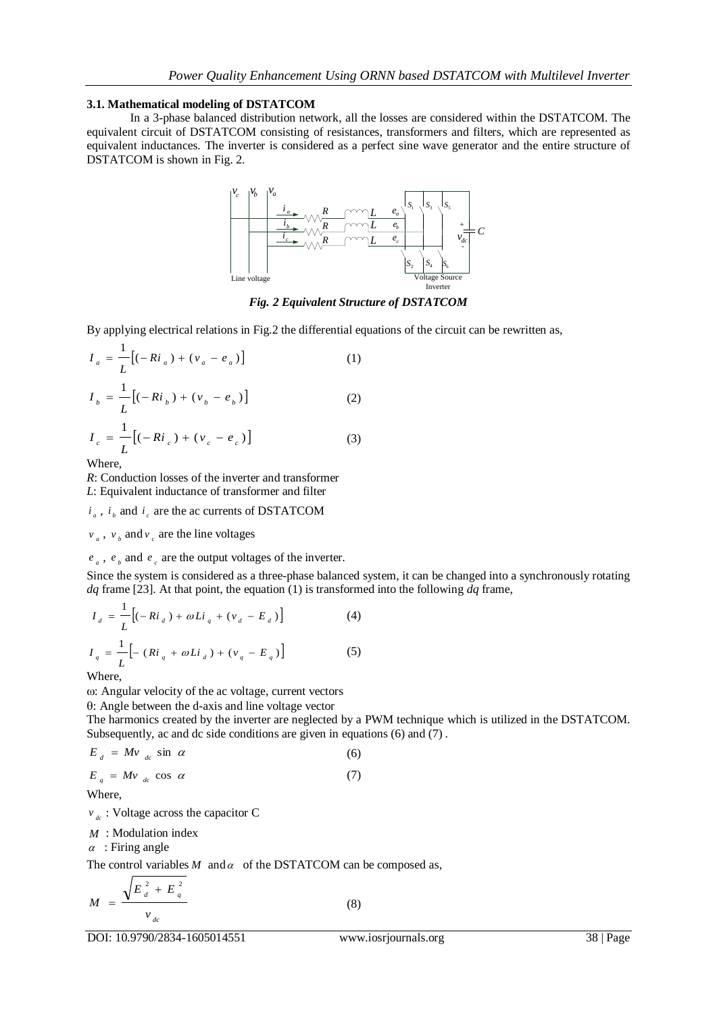## **3.1. Mathematical modeling of DSTATCOM**

In a 3-phase balanced distribution network, all the losses are considered within the DSTATCOM. The equivalent circuit of DSTATCOM consisting of resistances, transformers and filters, which are represented as equivalent inductances. The inverter is considered as a perfect sine wave generator and the entire structure of DSTATCOM is shown in Fig. 2.



*Fig. 2 Equivalent Structure of DSTATCOM*

By applying electrical relations in Fig.2 the differential equations of the circuit can be rewritten as,

$$
I_{a} = \frac{1}{L} \left[ (-R i_{a}) + (v_{a} - e_{a}) \right]
$$
 (1)

$$
I_b = \frac{1}{L} [(-Ri_b) + (\nu_b - e_b)]
$$
 (2)

$$
I_c = \frac{1}{L} [(-Ri_c) + (v_c - e_c)]
$$
 (3)

Where,

*R*: Conduction losses of the inverter and transformer

*L*: Equivalent inductance of transformer and filter

 $i_a$ ,  $i_b$  and  $i_c$  are the ac currents of DSTATCOM

 $v_a$ ,  $v_b$  and  $v_c$  are the line voltages

## $e_a$ ,  $e_b$  and  $e_c$  are the output voltages of the inverter.

Since the system is considered as a three-phase balanced system, it can be changed into a synchronously rotating *dq* frame [23]. At that point, the equation (1) is transformed into the following *dq* frame,

$$
I_{d} = \frac{1}{L} \Big[ (-Ri_{d}) + \omega Li_{q} + (v_{d} - E_{d}) \Big]
$$
 (4)  

$$
I_{q} = \frac{1}{L} \Big[ - (Ri_{q} + \omega Li_{d}) + (v_{q} - E_{q}) \Big]
$$
 (5)

Where,

: Angular velocity of the ac voltage, current vectors

: Angle between the d-axis and line voltage vector

The harmonics created by the inverter are neglected by a PWM technique which is utilized in the DSTATCOM. Subsequently, ac and dc side conditions are given in equations (6) and (7).

$$
E_d = Mv_{dc} \sin \alpha \tag{6}
$$

$$
E_q = Mv_{dc} \cos \alpha \tag{7}
$$

Where,

*dc v* : Voltage across the capacitor C

*M* : Modulation index

 $\alpha$ : Firing angle

The control variables  $M$  and  $\alpha$  of the DSTATCOM can be composed as,

$$
M = \frac{\sqrt{E_{d}^{2} + E_{q}^{2}}}{v_{dc}}
$$
 (8)

DOI: 10.9790/2834-1605014551 www.iosrjournals.org 38 | Page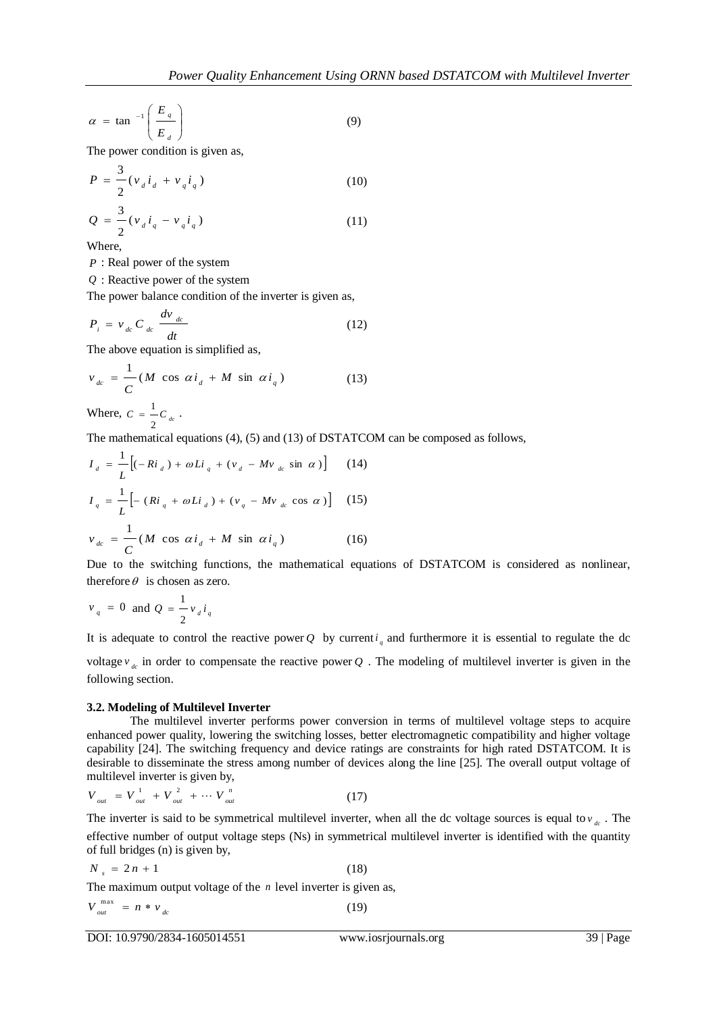$$
\alpha = \tan^{-1} \left( \frac{E_q}{E_d} \right) \tag{9}
$$

The power condition is given as,

$$
P = \frac{3}{2} (v_d i_d + v_q i_q)
$$
 (10)

$$
Q = \frac{3}{2} (v_d i_q - v_q i_q)
$$
 (11)

Where,

*P* : Real power of the system

*Q* : Reactive power of the system

The power balance condition of the inverter is given as,

$$
P_i = v_{dc} C_{dc} \frac{dv_{dc}}{dt}
$$
 (12)

The above equation is simplified as,

$$
v_{dc} = \frac{1}{C} (M \cos \alpha i_d + M \sin \alpha i_q)
$$
 (13)

Where,  $C = \frac{1}{2}C_d$  $=$  $\frac{1}{-C}$ .

The mathematical equations (4), (5) and (13) of DSTATCOM can be composed as follows,

$$
I_{d} = \frac{1}{L} \Big[ (-Ri_{d}) + \omega Li_{q} + (v_{d} - Mv_{dc} \sin \alpha) \Big] \qquad (14)
$$
  
\n
$$
I_{q} = \frac{1}{L} \Big[ - (Ri_{q} + \omega Li_{d}) + (v_{q} - Mv_{dc} \cos \alpha) \Big] \qquad (15)
$$
  
\n
$$
v_{dc} = \frac{1}{C} (M \cos \alpha i_{d} + M \sin \alpha i_{q}) \qquad (16)
$$

Due to the switching functions, the mathematical equations of DSTATCOM is considered as nonlinear, therefore  $\theta$  is chosen as zero.

$$
v_q = 0 \text{ and } Q = \frac{1}{2} v_d i_q
$$

It is adequate to control the reactive power Q by current  $i_q$  and furthermore it is essential to regulate the dc voltage  $v_{ac}$  in order to compensate the reactive power Q. The modeling of multilevel inverter is given in the following section.

## **3.2. Modeling of Multilevel Inverter**

The multilevel inverter performs power conversion in terms of multilevel voltage steps to acquire enhanced power quality, lowering the switching losses, better electromagnetic compatibility and higher voltage capability [24]. The switching frequency and device ratings are constraints for high rated DSTATCOM. It is desirable to disseminate the stress among number of devices along the line [25]. The overall output voltage of multilevel inverter is given by,

$$
V_{_{out}} = V_{_{out}}^1 + V_{_{out}}^2 + \cdots V_{_{out}}^n \tag{17}
$$

The inverter is said to be symmetrical multilevel inverter, when all the dc voltage sources is equal to  $v_{dc}$ . The effective number of output voltage steps (Ns) in symmetrical multilevel inverter is identified with the quantity of full bridges (n) is given by,

$$
N_{s} = 2n + 1 \tag{18}
$$

The maximum output voltage of the *n* level inverter is given as,

$$
V_{out}^{max} = n * v_{dc} \tag{19}
$$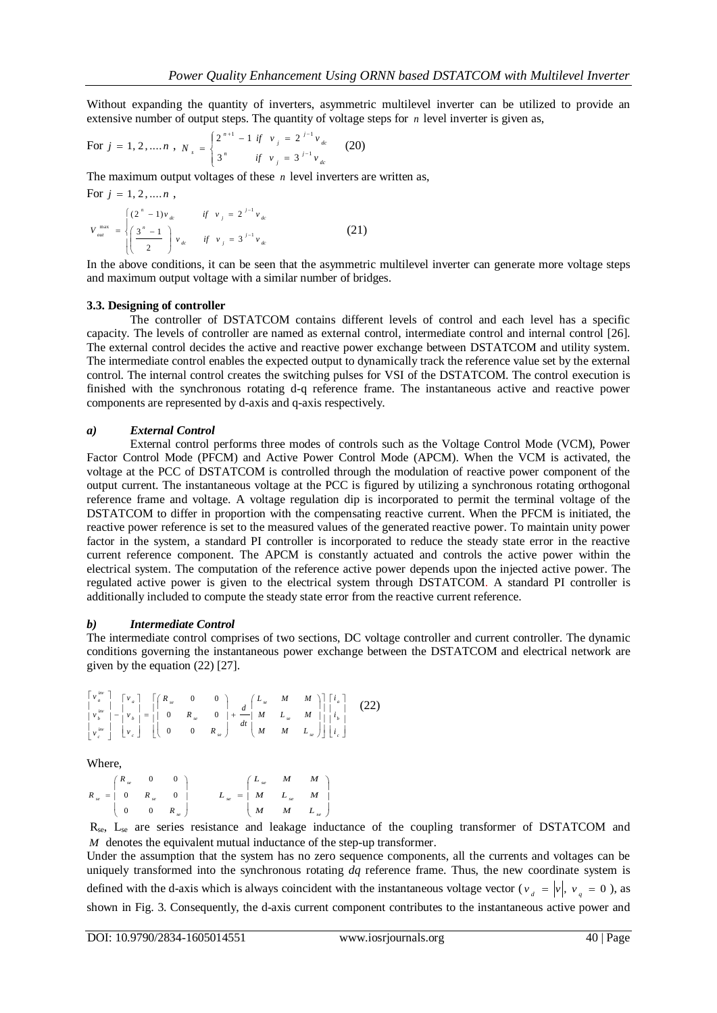Without expanding the quantity of inverters, asymmetric multilevel inverter can be utilized to provide an extensive number of output steps. The quantity of voltage steps for  $n$  level inverter is given as,

For 
$$
j = 1, 2, ..., n
$$
,  $N_s = \begin{cases} 2^{n+1} - 1 & \text{if } v_j = 2^{j-1} v_{dc} \\ 3^n & \text{if } v_j = 3^{j-1} v_{dc} \end{cases}$  (20)

The maximum output voltages of these  $n$  level inverters are written as,

For 
$$
j = 1, 2, ..., n
$$
,  
\n
$$
V_{out}^{max} = \begin{cases} (2^n - 1)v_{dc} & \text{if } v_j = 2^{j-1}v_{dc} \\ \left(\frac{3^n - 1}{2}\right)v_{dc} & \text{if } v_j = 3^{j-1}v_{dc} \end{cases}
$$
\n(21)

In the above conditions, it can be seen that the asymmetric multilevel inverter can generate more voltage steps and maximum output voltage with a similar number of bridges.

#### **3.3. Designing of controller**

The controller of DSTATCOM contains different levels of control and each level has a specific capacity. The levels of controller are named as external control, intermediate control and internal control [26]. The external control decides the active and reactive power exchange between DSTATCOM and utility system. The intermediate control enables the expected output to dynamically track the reference value set by the external control. The internal control creates the switching pulses for VSI of the DSTATCOM. The control execution is finished with the synchronous rotating d-q reference frame. The instantaneous active and reactive power components are represented by d-axis and q-axis respectively.

#### *a) External Control*

External control performs three modes of controls such as the Voltage Control Mode (VCM), Power Factor Control Mode (PFCM) and Active Power Control Mode (APCM). When the VCM is activated, the voltage at the PCC of DSTATCOM is controlled through the modulation of reactive power component of the output current. The instantaneous voltage at the PCC is figured by utilizing a synchronous rotating orthogonal reference frame and voltage. A voltage regulation dip is incorporated to permit the terminal voltage of the DSTATCOM to differ in proportion with the compensating reactive current. When the PFCM is initiated, the reactive power reference is set to the measured values of the generated reactive power. To maintain unity power factor in the system, a standard PI controller is incorporated to reduce the steady state error in the reactive current reference component. The APCM is constantly actuated and controls the active power within the electrical system. The computation of the reference active power depends upon the injected active power. The regulated active power is given to the electrical system through DSTATCOM. A standard PI controller is additionally included to compute the steady state error from the reactive current reference.

#### *b) Intermediate Control*

The intermediate control comprises of two sections, DC voltage controller and current controller. The dynamic conditions governing the instantaneous power exchange between the DSTATCOM and electrical network are given by the equation (22) [27].

$$
\begin{bmatrix}\n\mathbf{v}_{a}^{inv} \\
\mathbf{v}_{b}^{inv} \\
\mathbf{v}_{b}^{inv} \\
\mathbf{v}_{c}^{inv}\n\end{bmatrix}\n-\n\begin{bmatrix}\n\mathbf{v}_{a} \\
\mathbf{v}_{a} \\
\mathbf{v}_{c}\n\end{bmatrix}\n=\n\begin{bmatrix}\nR_{se} & 0 & 0 \\
0 & R_{se} & 0 \\
0 & 0 & R_{se}\n\end{bmatrix}\n+\n\frac{d}{dt}\n\begin{bmatrix}\nL_{se} & M & M \\
M & L_{se} & M \\
M & M & L_{se}\n\end{bmatrix}\n\begin{bmatrix}\ni_{a} \\
i_{b} \\
i_{c}\n\end{bmatrix}
$$
\n(22)

Where,

| $\left( \begin{array}{ccc} R_{se} & 0 & 0 \end{array} \right)$ |  | $\label{eq:loss} \begin{array}{ccc} & \left( \begin{array}{ccc} L_{\mathit{se}} & M & M \\ \end{array} \right) \\ L_{\mathit{se}} & = & \left[ \begin{array}{ccc} M & L_{\mathit{se}} & M \\ \end{array} \right] \end{array}$ |  |
|----------------------------------------------------------------|--|-------------------------------------------------------------------------------------------------------------------------------------------------------------------------------------------------------------------------------|--|
| $R_{se} = \begin{bmatrix} 0 & R_{se} & 0 \end{bmatrix}$        |  |                                                                                                                                                                                                                               |  |
| $\begin{pmatrix} 0 & 0 & R_{se} \end{pmatrix}$                 |  | $\begin{pmatrix} M & M & L_{se} \end{pmatrix}$                                                                                                                                                                                |  |

Rse, Lse are series resistance and leakage inductance of the coupling transformer of DSTATCOM and *M* denotes the equivalent mutual inductance of the step-up transformer.

Under the assumption that the system has no zero sequence components, all the currents and voltages can be uniquely transformed into the synchronous rotating *dq* reference frame. Thus, the new coordinate system is defined with the d-axis which is always coincident with the instantaneous voltage vector ( $v_a = |v|$ ,  $v_g = 0$ ), as shown in Fig. 3. Consequently, the d-axis current component contributes to the instantaneous active power and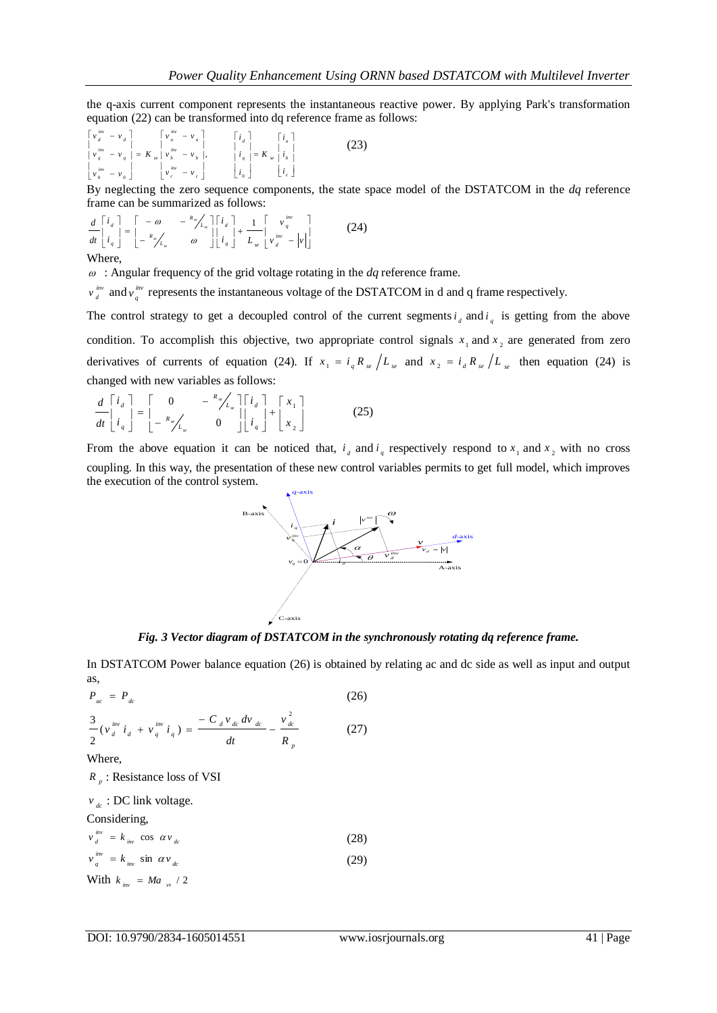the q-axis current component represents the instantaneous reactive power. By applying Park's transformation equation (22) can be transformed into dq reference frame as follows:

$$
\begin{bmatrix}\n\nu_{a}^{iw} & -\nu_{d} \\
\nu_{a}^{iw} & -\nu_{q} \\
\nu_{b}^{iw} & -\nu_{q}\n\end{bmatrix} = K_{se} \begin{bmatrix}\n\nu_{a}^{iw} & -\nu_{a} \\
\nu_{a}^{iw} & -\nu_{b} \\
\nu_{b}^{iw} & -\nu_{b}\n\end{bmatrix}, \qquad\n\begin{bmatrix}\n\dot{i}_{d} \\
\dot{i}_{q} \\
\dot{i}_{q} \\
\dot{i}_{q}\n\end{bmatrix} = K_{se} \begin{bmatrix}\n\dot{i}_{a} \\
\dot{i}_{b} \\
\dot{i}_{e}\n\end{bmatrix} \tag{23}
$$

By neglecting the zero sequence components, the state space model of the DSTATCOM in the *dq* reference frame can be summarized as follows:

$$
\frac{d}{dt}\begin{bmatrix} i_d \\ i_q \end{bmatrix} = \begin{bmatrix} -\omega & -\frac{R_{\nu}}{L_x} \end{bmatrix} \begin{bmatrix} i_d \\ i_q \end{bmatrix} + \frac{1}{L_x} \begin{bmatrix} v_q^{inv} \\ v_q^{inv} - v_q^{inv} \end{bmatrix}
$$
(24)

#### Where,

: Angular frequency of the grid voltage rotating in the *dq* reference frame.

*inv*  $v_d^{\text{inv}}$  and  $v_q^{\text{inv}}$ *v*<sup>*mv*</sup></sup> represents the instantaneous voltage of the DSTATCOM in d and q frame respectively.

The control strategy to get a decoupled control of the current segments  $i_d$  and  $i_q$  is getting from the above condition. To accomplish this objective, two appropriate control signals  $x_1$  and  $x_2$  are generated from zero derivatives of currents of equation (24). If  $x_1 = i_q R_{se} / L_{se}$  and  $x_2 = i_d R_{se} / L_{se}$  then equation (24) is changed with new variables as follows:

$$
\frac{d}{dt} \begin{bmatrix} i_a \\ i_a \end{bmatrix} = \begin{bmatrix} 0 & -\frac{R_x}{L_x} \end{bmatrix} \begin{bmatrix} i_a \\ i_a \end{bmatrix} + \begin{bmatrix} x_1 \\ x_2 \end{bmatrix}
$$
\n
$$
(25)
$$

From the above equation it can be noticed that,  $i_d$  and  $i_q$  respectively respond to  $x_1$  and  $x_2$  with no cross coupling. In this way, the presentation of these new control variables permits to get full model, which improves the execution of the control system.



*Fig. 3 Vector diagram of DSTATCOM in the synchronously rotating dq reference frame.*

In DSTATCOM Power balance equation (26) is obtained by relating ac and dc side as well as input and output as,

$$
P_{ac} = P_{dc}
$$
\n
$$
\frac{3}{2} (v_d^{inv} i_d + v_q^{inv} i_q) = \frac{-C_d v_{dc} dv_{dc}}{dt} - \frac{v_{dc}^2}{R_p}
$$
\n(27)

\nWhere,

*p R* : Resistance loss of VSI

$$
v_{dc}: DC link voltage.
$$
  
Considering,  

$$
v_d^{inv} = k_{inv} \cos \alpha v_{dc}
$$
  

$$
v_q^{inv} = k_{inv} \sin \alpha v_{dc}
$$
  
With  $k_{inv} = Ma_{vt}/2$  (29)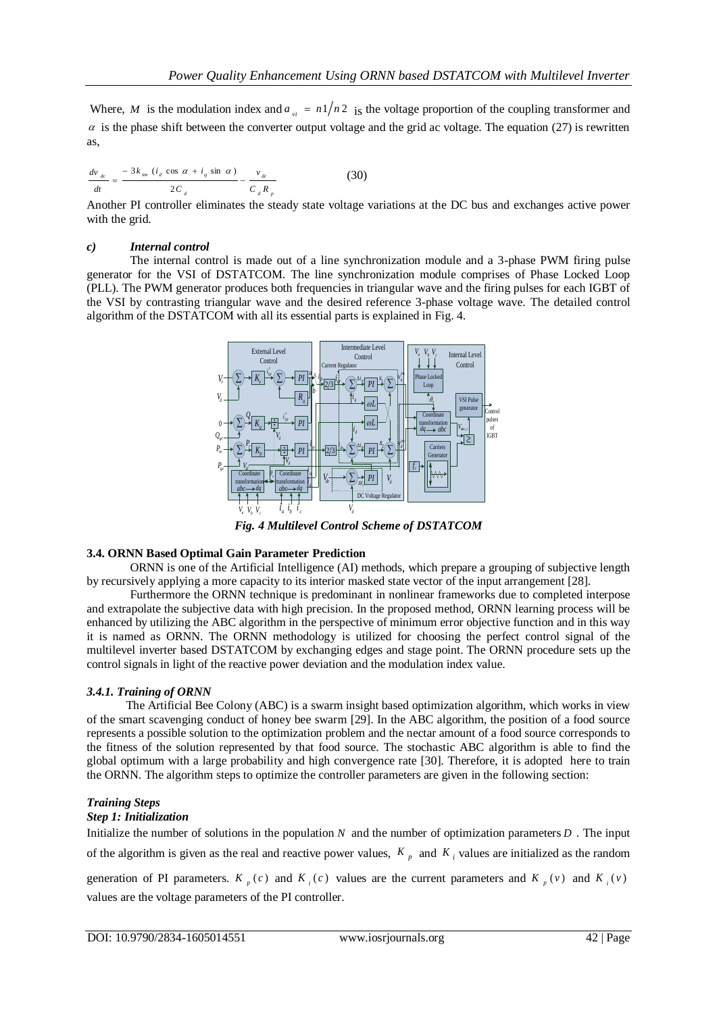Where, *M* is the modulation index and  $a_{vt} = n1/n2$  is the voltage proportion of the coupling transformer and  $\alpha$  is the phase shift between the converter output voltage and the grid ac voltage. The equation (27) is rewritten as,

$$
\frac{dv_{dc}}{dt} = \frac{-3k_{iw} (i_d \cos \alpha + i_q \sin \alpha)}{2C_d} - \frac{v_{dc}}{C_d R_p}
$$
(30)

Another PI controller eliminates the steady state voltage variations at the DC bus and exchanges active power with the grid.

### *c) Internal control*

The internal control is made out of a line synchronization module and a 3-phase PWM firing pulse generator for the VSI of DSTATCOM. The line synchronization module comprises of Phase Locked Loop (PLL). The PWM generator produces both frequencies in triangular wave and the firing pulses for each IGBT of the VSI by contrasting triangular wave and the desired reference 3-phase voltage wave. The detailed control algorithm of the DSTATCOM with all its essential parts is explained in Fig. 4.



*Fig. 4 Multilevel Control Scheme of DSTATCOM*

## **3.4. ORNN Based Optimal Gain Parameter Prediction**

ORNN is one of the Artificial Intelligence (AI) methods, which prepare a grouping of subjective length by recursively applying a more capacity to its interior masked state vector of the input arrangement [28].

Furthermore the ORNN technique is predominant in nonlinear frameworks due to completed interpose and extrapolate the subjective data with high precision. In the proposed method, ORNN learning process will be enhanced by utilizing the ABC algorithm in the perspective of minimum error objective function and in this way it is named as ORNN. The ORNN methodology is utilized for choosing the perfect control signal of the multilevel inverter based DSTATCOM by exchanging edges and stage point. The ORNN procedure sets up the control signals in light of the reactive power deviation and the modulation index value.

## *3.4.1. Training of ORNN*

 The Artificial Bee Colony (ABC) is a swarm insight based optimization algorithm, which works in view of the smart scavenging conduct of honey bee swarm [29]. In the ABC algorithm, the position of a food source represents a possible solution to the optimization problem and the nectar amount of a food source corresponds to the fitness of the solution represented by that food source. The stochastic ABC algorithm is able to find the global optimum with a large probability and high convergence rate [30]. Therefore, it is adopted here to train the ORNN. The algorithm steps to optimize the controller parameters are given in the following section:

## *Training Steps*

## *Step 1: Initialization*

Initialize the number of solutions in the population  $N$  and the number of optimization parameters  $D$ . The input of the algorithm is given as the real and reactive power values,  $K_p$  and  $K_i$  values are initialized as the random

generation of PI parameters.  $K_p(c)$  and  $K_i(c)$  values are the current parameters and  $K_p(v)$  and  $K_i(v)$ values are the voltage parameters of the PI controller.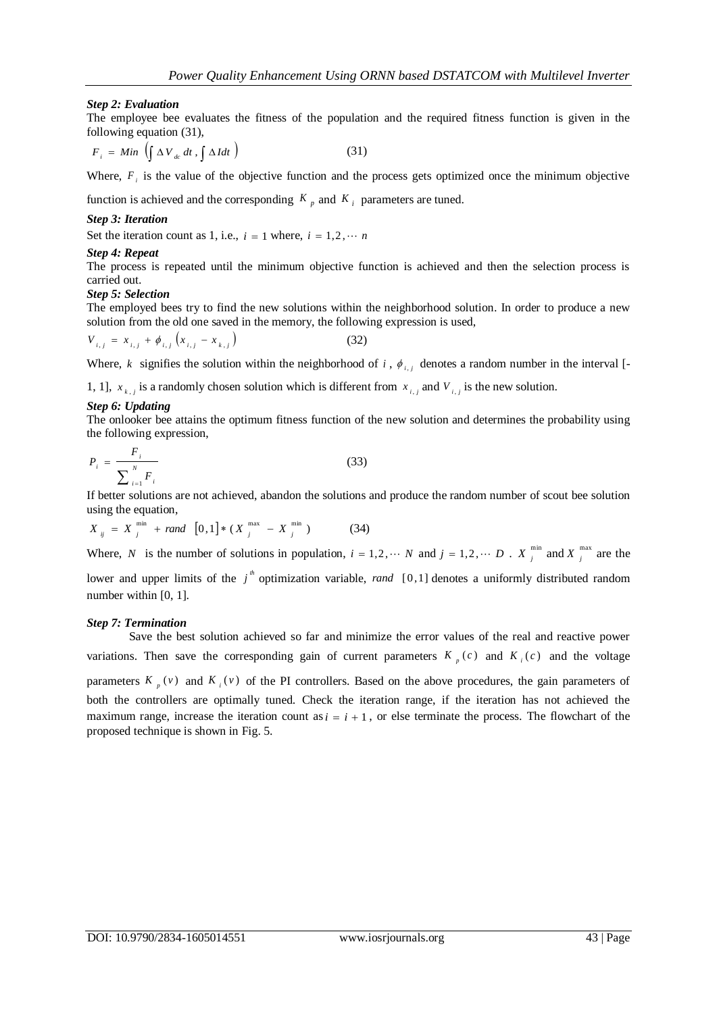## *Step 2: Evaluation*

The employee bee evaluates the fitness of the population and the required fitness function is given in the following equation (31),

$$
F_i = Min \left( \int \Delta V_{dc} dt , \int \Delta I dt \right)
$$
 (31)

Where,  $F_i$  is the value of the objective function and the process gets optimized once the minimum objective

function is achieved and the corresponding  $K_p$  and  $K_i$  parameters are tuned.

#### *Step 3: Iteration*

Set the iteration count as 1, i.e.,  $i = 1$  where,  $i = 1, 2, \cdots n$ 

#### *Step 4: Repeat*

The process is repeated until the minimum objective function is achieved and then the selection process is carried out.

#### *Step 5: Selection*

The employed bees try to find the new solutions within the neighborhood solution. In order to produce a new solution from the old one saved in the memory, the following expression is used,

$$
V_{i,j} = x_{i,j} + \phi_{i,j} \left( x_{i,j} - x_{k,j} \right)
$$
 (32)

Where, k signifies the solution within the neighborhood of i,  $\phi_{i,j}$  denotes a random number in the interval [-

1, 1],  $x_{k,j}$  is a randomly chosen solution which is different from  $x_{i,j}$  and  $V_{i,j}$  is the new solution.

#### *Step 6: Updating*

The onlooker bee attains the optimum fitness function of the new solution and determines the probability using the following expression,

$$
P_i = \frac{F_i}{\sum_{i=1}^N F_i}
$$
\n(33)

If better solutions are not achieved, abandon the solutions and produce the random number of scout bee solution using the equation,

$$
X_{ij} = X_{j}^{\min} + rand \ [0,1] * (X_{j}^{\max} - X_{j}^{\min}) \qquad (34)
$$

Where, N is the number of solutions in population,  $i = 1, 2, \dots N$  and  $j = 1, 2, \dots D$ . X  $\sum_{i=1}^{m}$  $X_j^{\min}$  and  $X_j^{\max}$  $X_j^{\text{max}}$  are the lower and upper limits of the  $j^h$  optimization variable, *rand* [0,1] denotes a uniformly distributed random

number within [0, 1].

#### *Step 7: Termination*

 Save the best solution achieved so far and minimize the error values of the real and reactive power variations. Then save the corresponding gain of current parameters  $K_p(c)$  and  $K_i(c)$  and the voltage parameters  $K_{\rho}(v)$  and  $K_{i}(v)$  of the PI controllers. Based on the above procedures, the gain parameters of both the controllers are optimally tuned. Check the iteration range, if the iteration has not achieved the maximum range, increase the iteration count as  $i = i + 1$ , or else terminate the process. The flowchart of the proposed technique is shown in Fig. 5.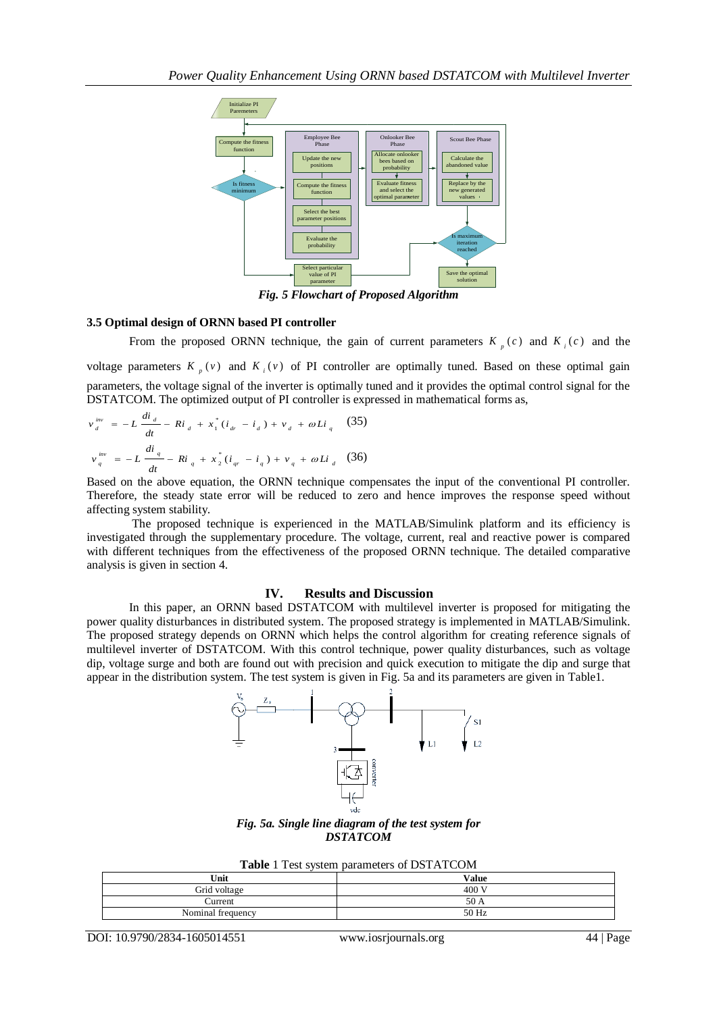

*Fig. 5 Flowchart of Proposed Algorithm*

## **3.5 Optimal design of ORNN based PI controller**

From the proposed ORNN technique, the gain of current parameters  $K_p(c)$  and  $K_i(c)$  and the voltage parameters  $K_p(v)$  and  $K_i(v)$  of PI controller are optimally tuned. Based on these optimal gain parameters, the voltage signal of the inverter is optimally tuned and it provides the optimal control signal for the DSTATCOM. The optimized output of PI controller is expressed in mathematical forms as,

$$
v_{d}^{inv} = -L \frac{di_{d}}{dt} - Ri_{d} + x_{1}^{*} (i_{dr} - i_{d}) + v_{d} + \omega Li_{q}
$$
 (35)  

$$
v_{q}^{inv} = -L \frac{di_{q}}{dt} - Ri_{q} + x_{2}^{*} (i_{qr} - i_{q}) + v_{q} + \omega Li_{d}
$$
 (36)

Based on the above equation, the ORNN technique compensates the input of the conventional PI controller. Therefore, the steady state error will be reduced to zero and hence improves the response speed without affecting system stability.

 The proposed technique is experienced in the MATLAB/Simulink platform and its efficiency is investigated through the supplementary procedure. The voltage, current, real and reactive power is compared with different techniques from the effectiveness of the proposed ORNN technique. The detailed comparative analysis is given in section 4.

## **IV. Results and Discussion**

 In this paper, an ORNN based DSTATCOM with multilevel inverter is proposed for mitigating the power quality disturbances in distributed system. The proposed strategy is implemented in MATLAB/Simulink. The proposed strategy depends on ORNN which helps the control algorithm for creating reference signals of multilevel inverter of DSTATCOM. With this control technique, power quality disturbances, such as voltage dip, voltage surge and both are found out with precision and quick execution to mitigate the dip and surge that appear in the distribution system. The test system is given in Fig. 5a and its parameters are given in Table1.



*Fig. 5a. Single line diagram of the test system for DSTATCOM*

| Unit              | <b>Value</b> |
|-------------------|--------------|
| Grid voltage      | 400 V        |
| <b>Lurrent</b>    | 50 A         |
| Nominal frequency | 50 Hz        |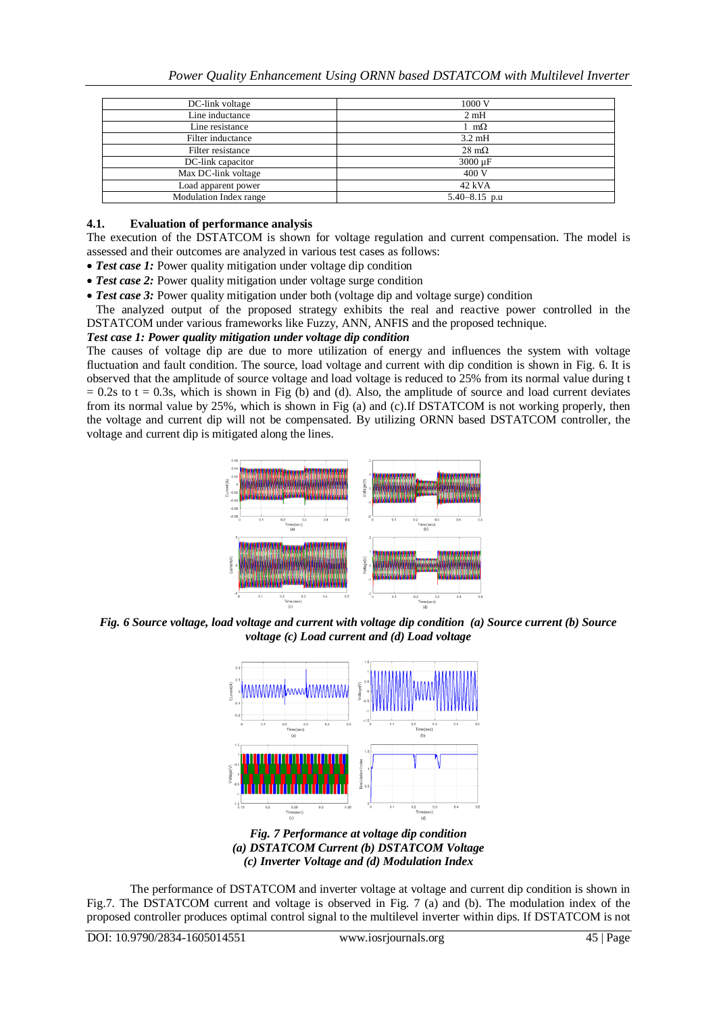| DC-link voltage        | 1000 V               |  |  |
|------------------------|----------------------|--|--|
| Line inductance        | 2mH                  |  |  |
| Line resistance        | $1 \text{ m}\Omega$  |  |  |
| Filter inductance      | $3.2 \text{ mH}$     |  |  |
| Filter resistance      | $28 \text{ m}\Omega$ |  |  |
| DC-link capacitor      | 3000 µF              |  |  |
| Max DC-link voltage    | 400 V                |  |  |
| Load apparent power    | 42 kVA               |  |  |
| Modulation Index range | $5.40 - 8.15$ p.u    |  |  |

### **4.1. Evaluation of performance analysis**

The execution of the DSTATCOM is shown for voltage regulation and current compensation. The model is assessed and their outcomes are analyzed in various test cases as follows:

- *Test case 1:* Power quality mitigation under voltage dip condition
- *Test case 2:* Power quality mitigation under voltage surge condition
- Test case 3: Power quality mitigation under both (voltage dip and voltage surge) condition

 The analyzed output of the proposed strategy exhibits the real and reactive power controlled in the DSTATCOM under various frameworks like Fuzzy, ANN, ANFIS and the proposed technique.

## *Test case 1: Power quality mitigation under voltage dip condition*

The causes of voltage dip are due to more utilization of energy and influences the system with voltage fluctuation and fault condition. The source, load voltage and current with dip condition is shown in Fig. 6. It is observed that the amplitude of source voltage and load voltage is reduced to 25% from its normal value during t  $= 0.2$ s to t  $= 0.3$ s, which is shown in Fig (b) and (d). Also, the amplitude of source and load current deviates from its normal value by 25%, which is shown in Fig (a) and (c).If DSTATCOM is not working properly, then the voltage and current dip will not be compensated. By utilizing ORNN based DSTATCOM controller, the voltage and current dip is mitigated along the lines.



*Fig. 6 Source voltage, load voltage and current with voltage dip condition (a) Source current (b) Source voltage (c) Load current and (d) Load voltage*



*Fig. 7 Performance at voltage dip condition (a) DSTATCOM Current (b) DSTATCOM Voltage (c) Inverter Voltage and (d) Modulation Index*

The performance of DSTATCOM and inverter voltage at voltage and current dip condition is shown in Fig.7. The DSTATCOM current and voltage is observed in Fig. 7 (a) and (b). The modulation index of the proposed controller produces optimal control signal to the multilevel inverter within dips. If DSTATCOM is not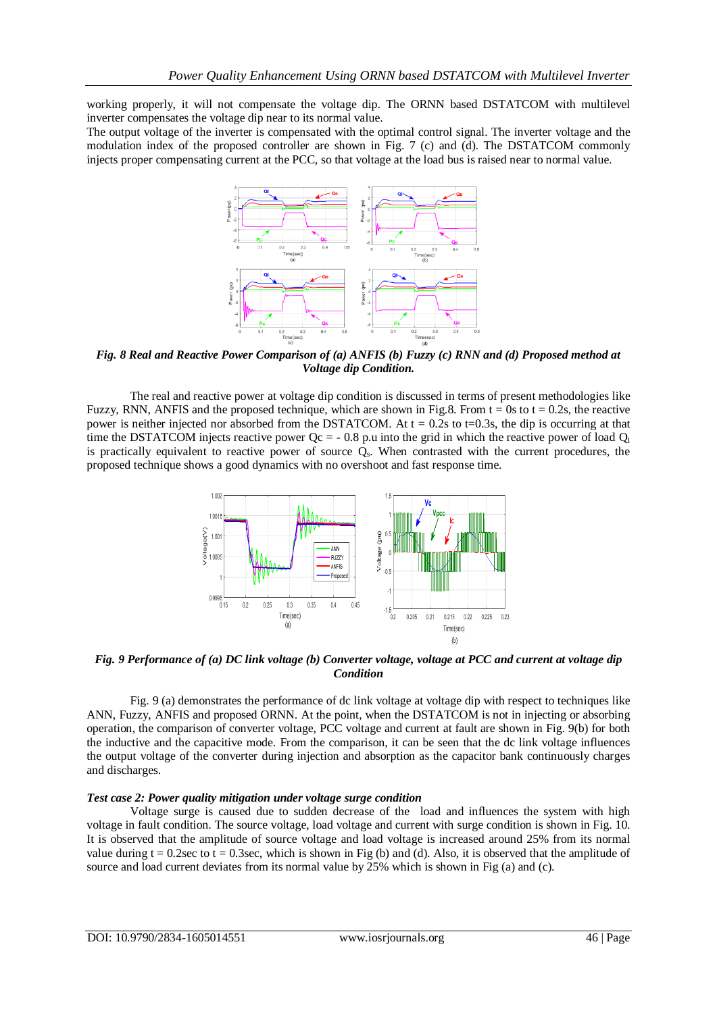working properly, it will not compensate the voltage dip. The ORNN based DSTATCOM with multilevel inverter compensates the voltage dip near to its normal value.

The output voltage of the inverter is compensated with the optimal control signal. The inverter voltage and the modulation index of the proposed controller are shown in Fig. 7 (c) and (d). The DSTATCOM commonly injects proper compensating current at the PCC, so that voltage at the load bus is raised near to normal value.



*Fig. 8 Real and Reactive Power Comparison of (a) ANFIS (b) Fuzzy (c) RNN and (d) Proposed method at Voltage dip Condition.*

The real and reactive power at voltage dip condition is discussed in terms of present methodologies like Fuzzy, RNN, ANFIS and the proposed technique, which are shown in Fig.8. From  $t = 0$ s to  $t = 0.2$ s, the reactive power is neither injected nor absorbed from the DSTATCOM. At  $t = 0.2$ s to  $t=0.3$ s, the dip is occurring at that time the DSTATCOM injects reactive power  $Qc = -0.8$  p.u into the grid in which the reactive power of load  $Q<sub>1</sub>$ is practically equivalent to reactive power of source  $Q_s$ . When contrasted with the current procedures, the proposed technique shows a good dynamics with no overshoot and fast response time.



*Fig. 9 Performance of (a) DC link voltage (b) Converter voltage, voltage at PCC and current at voltage dip Condition*

Fig. 9 (a) demonstrates the performance of dc link voltage at voltage dip with respect to techniques like ANN, Fuzzy, ANFIS and proposed ORNN. At the point, when the DSTATCOM is not in injecting or absorbing operation, the comparison of converter voltage, PCC voltage and current at fault are shown in Fig. 9(b) for both the inductive and the capacitive mode. From the comparison, it can be seen that the dc link voltage influences the output voltage of the converter during injection and absorption as the capacitor bank continuously charges and discharges.

#### *Test case 2: Power quality mitigation under voltage surge condition*

Voltage surge is caused due to sudden decrease of the load and influences the system with high voltage in fault condition. The source voltage, load voltage and current with surge condition is shown in Fig. 10. It is observed that the amplitude of source voltage and load voltage is increased around 25% from its normal value during  $t = 0.2$ sec to  $t = 0.3$ sec, which is shown in Fig (b) and (d). Also, it is observed that the amplitude of source and load current deviates from its normal value by 25% which is shown in Fig (a) and (c).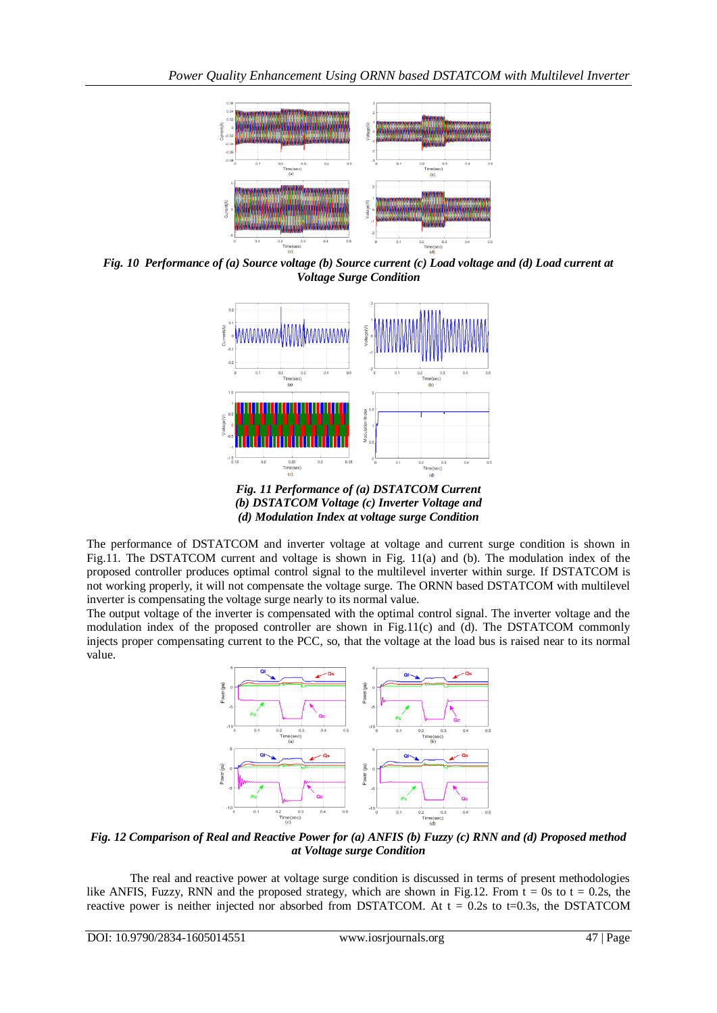

*Fig. 10 Performance of (a) Source voltage (b) Source current (c) Load voltage and (d) Load current at Voltage Surge Condition*



*Fig. 11 Performance of (a) DSTATCOM Current (b) DSTATCOM Voltage (c) Inverter Voltage and (d) Modulation Index at voltage surge Condition*

The performance of DSTATCOM and inverter voltage at voltage and current surge condition is shown in Fig.11. The DSTATCOM current and voltage is shown in Fig. 11(a) and (b). The modulation index of the proposed controller produces optimal control signal to the multilevel inverter within surge. If DSTATCOM is not working properly, it will not compensate the voltage surge. The ORNN based DSTATCOM with multilevel inverter is compensating the voltage surge nearly to its normal value.

The output voltage of the inverter is compensated with the optimal control signal. The inverter voltage and the modulation index of the proposed controller are shown in Fig.11(c) and (d). The DSTATCOM commonly injects proper compensating current to the PCC, so, that the voltage at the load bus is raised near to its normal value.



*Fig. 12 Comparison of Real and Reactive Power for (a) ANFIS (b) Fuzzy (c) RNN and (d) Proposed method at Voltage surge Condition*

The real and reactive power at voltage surge condition is discussed in terms of present methodologies like ANFIS, Fuzzy, RNN and the proposed strategy, which are shown in Fig.12. From  $t = 0s$  to  $t = 0.2s$ , the reactive power is neither injected nor absorbed from DSTATCOM. At  $t = 0.2$ s to t=0.3s, the DSTATCOM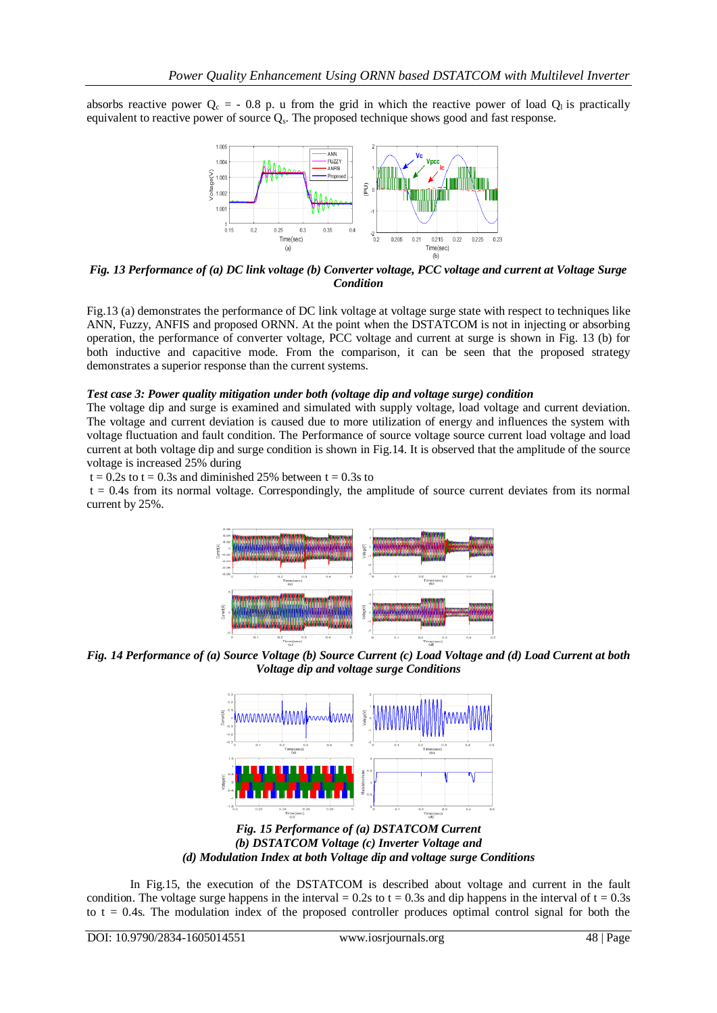absorbs reactive power  $Q_c = -0.8$  p. u from the grid in which the reactive power of load  $Q_l$  is practically equivalent to reactive power of source  $Q_s$ . The proposed technique shows good and fast response.



*Fig. 13 Performance of (a) DC link voltage (b) Converter voltage, PCC voltage and current at Voltage Surge Condition*

Fig.13 (a) demonstrates the performance of DC link voltage at voltage surge state with respect to techniques like ANN, Fuzzy, ANFIS and proposed ORNN. At the point when the DSTATCOM is not in injecting or absorbing operation, the performance of converter voltage, PCC voltage and current at surge is shown in Fig. 13 (b) for both inductive and capacitive mode. From the comparison, it can be seen that the proposed strategy demonstrates a superior response than the current systems.

#### *Test case 3: Power quality mitigation under both (voltage dip and voltage surge) condition*

The voltage dip and surge is examined and simulated with supply voltage, load voltage and current deviation. The voltage and current deviation is caused due to more utilization of energy and influences the system with voltage fluctuation and fault condition. The Performance of source voltage source current load voltage and load current at both voltage dip and surge condition is shown in Fig.14. It is observed that the amplitude of the source voltage is increased 25% during

 $t = 0.2$ s to  $t = 0.3$ s and diminished 25% between  $t = 0.3$ s to

 $t = 0.4$ s from its normal voltage. Correspondingly, the amplitude of source current deviates from its normal current by 25%.



*Fig. 14 Performance of (a) Source Voltage (b) Source Current (c) Load Voltage and (d) Load Current at both Voltage dip and voltage surge Conditions*



*Fig. 15 Performance of (a) DSTATCOM Current (b) DSTATCOM Voltage (c) Inverter Voltage and (d) Modulation Index at both Voltage dip and voltage surge Conditions*

In Fig.15, the execution of the DSTATCOM is described about voltage and current in the fault condition. The voltage surge happens in the interval = 0.2s to  $t = 0.3s$  and dip happens in the interval of  $t = 0.3s$ to  $t = 0.4$ s. The modulation index of the proposed controller produces optimal control signal for both the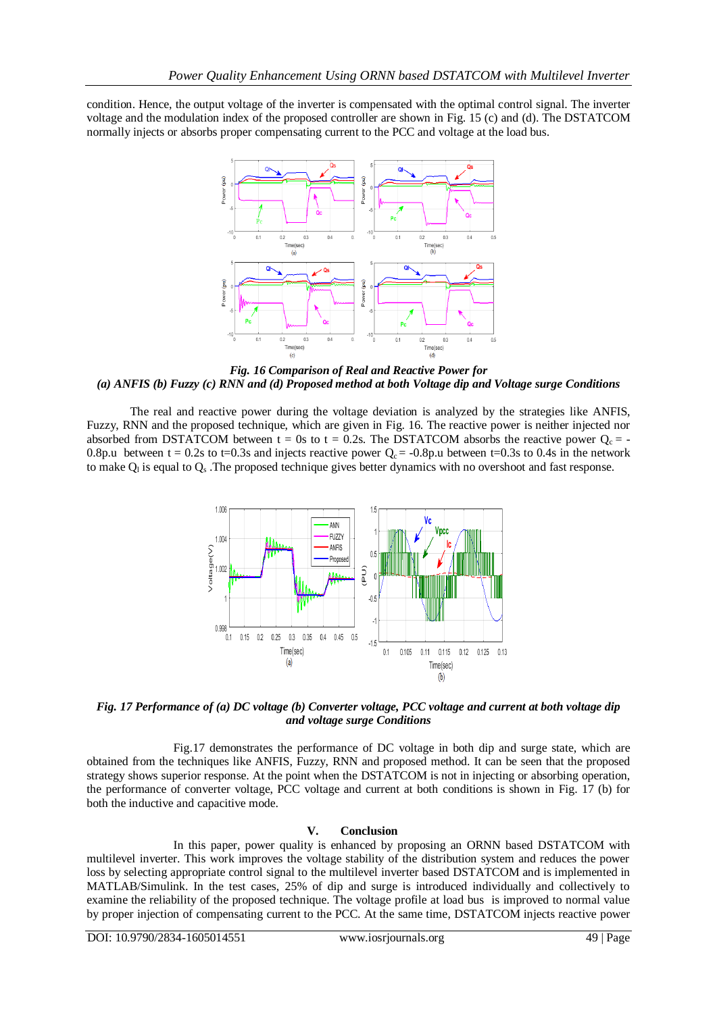condition. Hence, the output voltage of the inverter is compensated with the optimal control signal. The inverter voltage and the modulation index of the proposed controller are shown in Fig. 15 (c) and (d). The DSTATCOM normally injects or absorbs proper compensating current to the PCC and voltage at the load bus.



*Fig. 16 Comparison of Real and Reactive Power for (a) ANFIS (b) Fuzzy (c) RNN and (d) Proposed method at both Voltage dip and Voltage surge Conditions*

The real and reactive power during the voltage deviation is analyzed by the strategies like ANFIS, Fuzzy, RNN and the proposed technique, which are given in Fig. 16. The reactive power is neither injected nor absorbed from DSTATCOM between t = 0s to t = 0.2s. The DSTATCOM absorbs the reactive power  $Q_c = -$ 0.8p.u between t = 0.2s to t=0.3s and injects reactive power  $Q_c = -0.8p.u$  between t=0.3s to 0.4s in the network to make  $Q<sub>l</sub>$  is equal to  $Q<sub>s</sub>$ . The proposed technique gives better dynamics with no overshoot and fast response.



*Fig. 17 Performance of (a) DC voltage (b) Converter voltage, PCC voltage and current at both voltage dip and voltage surge Conditions*

Fig.17 demonstrates the performance of DC voltage in both dip and surge state, which are obtained from the techniques like ANFIS, Fuzzy, RNN and proposed method. It can be seen that the proposed strategy shows superior response. At the point when the DSTATCOM is not in injecting or absorbing operation, the performance of converter voltage, PCC voltage and current at both conditions is shown in Fig. 17 (b) for both the inductive and capacitive mode.

## **V. Conclusion**

In this paper, power quality is enhanced by proposing an ORNN based DSTATCOM with multilevel inverter. This work improves the voltage stability of the distribution system and reduces the power loss by selecting appropriate control signal to the multilevel inverter based DSTATCOM and is implemented in MATLAB/Simulink. In the test cases, 25% of dip and surge is introduced individually and collectively to examine the reliability of the proposed technique. The voltage profile at load bus is improved to normal value by proper injection of compensating current to the PCC. At the same time, DSTATCOM injects reactive power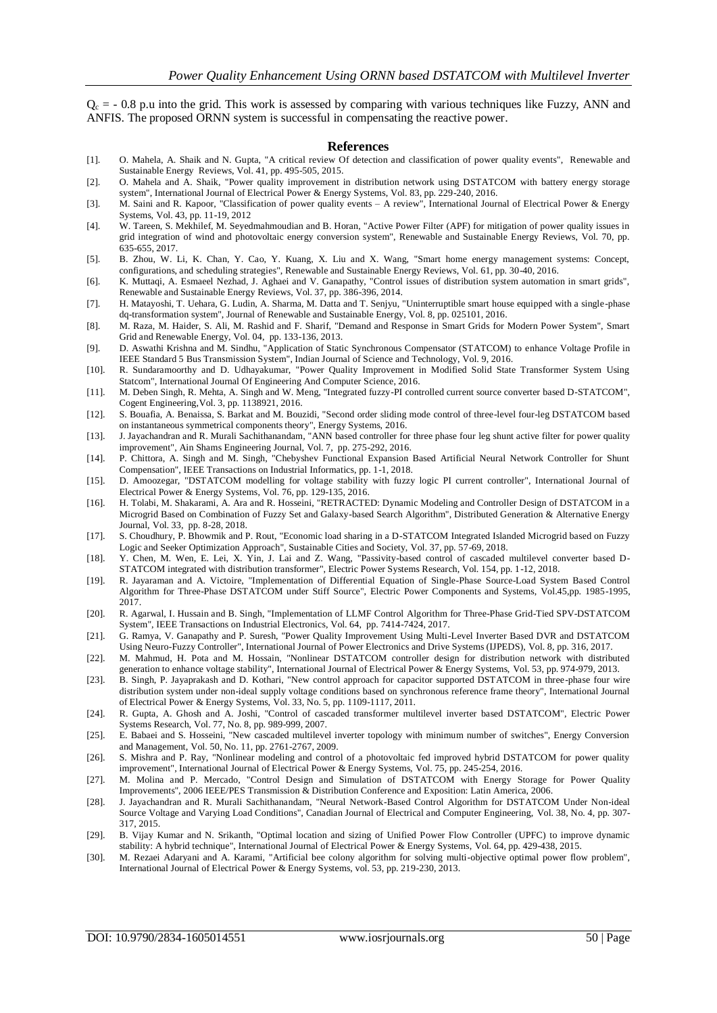$Q<sub>c</sub> = -0.8$  p.u into the grid. This work is assessed by comparing with various techniques like Fuzzy, ANN and ANFIS. The proposed ORNN system is successful in compensating the reactive power.

#### **References**

- [1]. O. Mahela, A. Shaik and N. Gupta, "A critical review Of detection and classification of power quality events", Renewable and Sustainable Energy Reviews, Vol. 41, pp. 495-505, 2015.
- [2]. O. Mahela and A. Shaik, "Power quality improvement in distribution network using DSTATCOM with battery energy storage system", International Journal of Electrical Power & Energy Systems, Vol. 83, pp. 229-240, 2016.
- [3]. M. Saini and R. Kapoor, "Classification of power quality events A review", International Journal of Electrical Power & Energy Systems, Vol. 43, pp. 11-19, 2012
- [4]. W. Tareen, S. Mekhilef, M. Seyedmahmoudian and B. Horan, "Active Power Filter (APF) for mitigation of power quality issues in grid integration of wind and photovoltaic energy conversion system", Renewable and Sustainable Energy Reviews, Vol. 70, pp. 635-655, 2017.
- [5]. B. Zhou, W. Li, K. Chan, Y. Cao, Y. Kuang, X. Liu and X. Wang, "Smart home energy management systems: Concept, configurations, and scheduling strategies", Renewable and Sustainable Energy Reviews, Vol. 61, pp. 30-40, 2016.
- [6]. K. Muttaqi, A. Esmaeel Nezhad, J. Aghaei and V. Ganapathy, "Control issues of distribution system automation in smart grids", Renewable and Sustainable Energy Reviews, Vol. 37, pp. 386-396, 2014.
- [7]. H. Matayoshi, T. Uehara, G. Ludin, A. Sharma, M. Datta and T. Senjyu, "Uninterruptible smart house equipped with a single-phase dq-transformation system", Journal of Renewable and Sustainable Energy, Vol. 8, pp. 025101, 2016.
- [8]. M. Raza, M. Haider, S. Ali, M. Rashid and F. Sharif, "Demand and Response in Smart Grids for Modern Power System", Smart Grid and Renewable Energy, Vol. 04, pp. 133-136, 2013.
- [9]. D. Aswathi Krishna and M. Sindhu, "Application of Static Synchronous Compensator (STATCOM) to enhance Voltage Profile in IEEE Standard 5 Bus Transmission System", Indian Journal of Science and Technology, Vol. 9, 2016.
- [10]. R. Sundaramoorthy and D. Udhayakumar, "Power Quality Improvement in Modified Solid State Transformer System Using Statcom", International Journal Of Engineering And Computer Science, 2016.
- [11]. M. Deben Singh, R. Mehta, A. Singh and W. Meng, "Integrated fuzzy-PI controlled current source converter based D-STATCOM", Cogent Engineering,Vol. 3, pp. 1138921, 2016.
- [12]. S. Bouafia, A. Benaissa, S. Barkat and M. Bouzidi, "Second order sliding mode control of three-level four-leg DSTATCOM based on instantaneous symmetrical components theory", Energy Systems, 2016.
- [13]. J. Jayachandran and R. Murali Sachithanandam, "ANN based controller for three phase four leg shunt active filter for power quality improvement", Ain Shams Engineering Journal, Vol. 7, pp. 275-292, 2016.
- [14]. P. Chittora, A. Singh and M. Singh, "Chebyshev Functional Expansion Based Artificial Neural Network Controller for Shunt Compensation", IEEE Transactions on Industrial Informatics, pp. 1-1, 2018.
- [15]. D. Amoozegar, "DSTATCOM modelling for voltage stability with fuzzy logic PI current controller", International Journal of Electrical Power & Energy Systems, Vol. 76, pp. 129-135, 2016.
- [16]. H. Tolabi, M. Shakarami, A. Ara and R. Hosseini, "RETRACTED: Dynamic Modeling and Controller Design of DSTATCOM in a Microgrid Based on Combination of Fuzzy Set and Galaxy-based Search Algorithm", Distributed Generation & Alternative Energy Journal, Vol. 33, pp. 8-28, 2018.
- [17]. S. Choudhury, P. Bhowmik and P. Rout, "Economic load sharing in a D-STATCOM Integrated Islanded Microgrid based on Fuzzy Logic and Seeker Optimization Approach", Sustainable Cities and Society, Vol. 37, pp. 57-69, 2018.
- [18]. Y. Chen, M. Wen, E. Lei, X. Yin, J. Lai and Z. Wang, "Passivity-based control of cascaded multilevel converter based D-STATCOM integrated with distribution transformer", Electric Power Systems Research, Vol. 154, pp. 1-12, 2018.
- [19]. R. Jayaraman and A. Victoire, "Implementation of Differential Equation of Single-Phase Source-Load System Based Control Algorithm for Three-Phase DSTATCOM under Stiff Source", Electric Power Components and Systems, Vol.45,pp. 1985-1995, 2017.
- [20]. R. Agarwal, I. Hussain and B. Singh, "Implementation of LLMF Control Algorithm for Three-Phase Grid-Tied SPV-DSTATCOM System", IEEE Transactions on Industrial Electronics, Vol. 64, pp. 7414-7424, 2017.
- [21]. G. Ramya, V. Ganapathy and P. Suresh, "Power Quality Improvement Using Multi-Level Inverter Based DVR and DSTATCOM Using Neuro-Fuzzy Controller", International Journal of Power Electronics and Drive Systems (IJPEDS), Vol. 8, pp. 316, 2017.
- [22]. M. Mahmud, H. Pota and M. Hossain, "Nonlinear DSTATCOM controller design for distribution network with distributed generation to enhance voltage stability", International Journal of Electrical Power & Energy Systems, Vol. 53, pp. 974-979, 2013.
- [23]. B. Singh, P. Jayaprakash and D. Kothari, "New control approach for capacitor supported DSTATCOM in three-phase four wire distribution system under non-ideal supply voltage conditions based on synchronous reference frame theory", International Journal of Electrical Power & Energy Systems, Vol. 33, No. 5, pp. 1109-1117, 2011.
- [24]. R. Gupta, A. Ghosh and A. Joshi, "Control of cascaded transformer multilevel inverter based DSTATCOM", Electric Power Systems Research, Vol. 77, No. 8, pp. 989-999, 2007.
- [25]. E. Babaei and S. Hosseini, "New cascaded multilevel inverter topology with minimum number of switches", Energy Conversion and Management, Vol. 50, No. 11, pp. 2761-2767, 2009.
- [26]. S. Mishra and P. Ray, "Nonlinear modeling and control of a photovoltaic fed improved hybrid DSTATCOM for power quality improvement", International Journal of Electrical Power & Energy Systems, Vol. 75, pp. 245-254, 2016.
- [27]. M. Molina and P. Mercado, "Control Design and Simulation of DSTATCOM with Energy Storage for Power Quality Improvements", 2006 IEEE/PES Transmission & Distribution Conference and Exposition: Latin America, 2006.
- [28]. J. Jayachandran and R. Murali Sachithanandam, "Neural Network-Based Control Algorithm for DSTATCOM Under Non-ideal Source Voltage and Varying Load Conditions", Canadian Journal of Electrical and Computer Engineering, Vol. 38, No. 4, pp. 307- 317, 2015.
- [29]. B. Vijay Kumar and N. Srikanth, "Optimal location and sizing of Unified Power Flow Controller (UPFC) to improve dynamic stability: A hybrid technique", International Journal of Electrical Power & Energy Systems, Vol. 64, pp. 429-438, 2015.
- [30]. M. Rezaei Adaryani and A. Karami, "Artificial bee colony algorithm for solving multi-objective optimal power flow problem", International Journal of Electrical Power & Energy Systems, vol. 53, pp. 219-230, 2013.